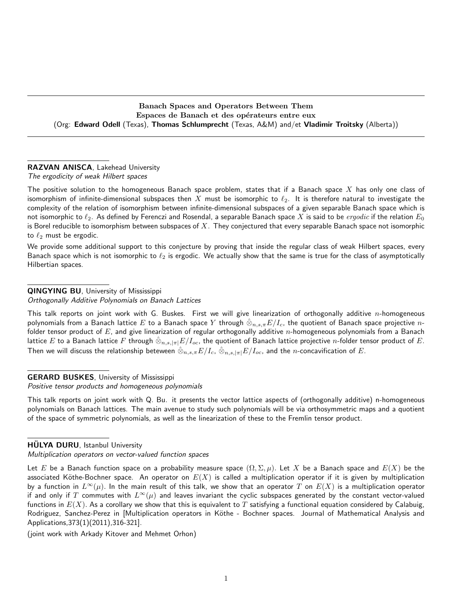Banach Spaces and Operators Between Them Espaces de Banach et des opérateurs entre eux (Org: Edward Odell (Texas), Thomas Schlumprecht (Texas, A&M) and/et Vladimir Troitsky (Alberta))

#### RAZVAN ANISCA, Lakehead University

The ergodicity of weak Hilbert spaces

The positive solution to the homogeneous Banach space problem, states that if a Banach space  $X$  has only one class of isomorphism of infinite-dimensional subspaces then X must be isomorphic to  $\ell_2$ . It is therefore natural to investigate the complexity of the relation of isomorphism between infinite-dimensional subspaces of a given separable Banach space which is not isomorphic to  $\ell_2$ . As defined by Ferenczi and Rosendal, a separable Banach space  $X$  is said to be  $ergodic$  if the relation  $E_0$ is Borel reducible to isomorphism between subspaces of  $X$ . They conjectured that every separable Banach space not isomorphic to  $\ell_2$  must be ergodic.

We provide some additional support to this conjecture by proving that inside the regular class of weak Hilbert spaces, every Banach space which is not isomorphic to  $\ell_2$  is ergodic. We actually show that the same is true for the class of asymptotically Hilbertian spaces.

#### QINGYING BU, University of Mississippi

Orthogonally Additive Polynomials on Banach Lattices

This talk reports on joint work with G. Buskes. First we will give linearization of orthogonally additive  $n$ -homogeneous polynomials from a Banach lattice  $E$  to a Banach space  $Y$  through  $\hat\otimes_{n,s,\pi}E/I_c$ , the quotient of Banach space projective  $n$ folder tensor product of  $E$ , and give linearization of regular orthogonally additive  $n$ -homogeneous polynomials from a Banach lattice  $E$  to a Banach lattice  $F$  through  $\hat\otimes_{n,s,|\pi|}E/I_{oc}$ , the quotient of Banach lattice projective  $n$ -folder tensor product of  $E.$ Then we will discuss the relationship beteween  $\hat\otimes_{n,s,\pi}E/I_c,\,\hat\otimes_{n,s,|\pi|}E/I_{oc}$ , and the  $n$ -concavification of  $E.$ 

#### GERARD BUSKES, University of Mississippi

Positive tensor products and homogeneous polynomials

This talk reports on joint work with Q. Bu. it presents the vector lattice aspects of (orthogonally additive) n-homogeneous polynomials on Banach lattices. The main avenue to study such polynomials will be via orthosymmetric maps and a quotient of the space of symmetric polynomials, as well as the linearization of these to the Fremlin tensor product.

#### HULYA DURU, Istanbul University

Multiplication operators on vector-valued function spaces

Let E be a Banach function space on a probability measure space  $(\Omega, \Sigma, \mu)$ . Let X be a Banach space and  $E(X)$  be the associated Köthe-Bochner space. An operator on  $E(X)$  is called a multiplication operator if it is given by multiplication by a function in  $L^{\infty}(\mu)$ . In the main result of this talk, we show that an operator T on  $E(X)$  is a multiplication operator if and only if T commutes with  $L^{\infty}(\mu)$  and leaves invariant the cyclic subspaces generated by the constant vector-valued functions in  $E(X)$ . As a corollary we show that this is equivalent to T satisfying a functional equation considered by Calabuig, Rodriguez, Sanchez-Perez in [Multiplication operators in Köthe - Bochner spaces. Journal of Mathematical Analysis and Applications,373(1)(2011),316-321].

(joint work with Arkady Kitover and Mehmet Orhon)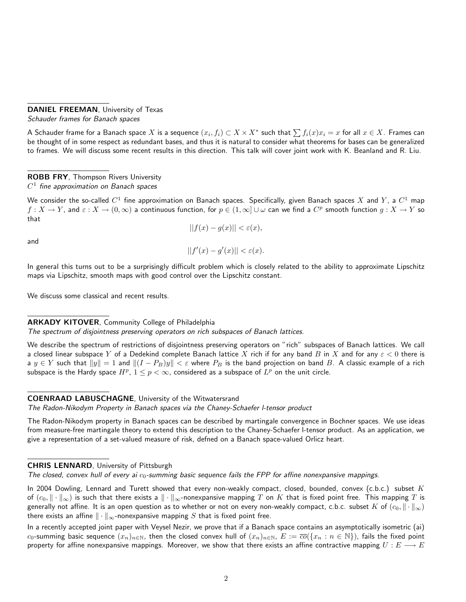#### DANIEL FREEMAN, University of Texas

Schauder frames for Banach spaces

A Schauder frame for a Banach space  $X$  is a sequence  $(x_i,f_i)\subset X\times X^*$  such that  $\sum f_i(x)x_i=x$  for all  $x\in X.$  Frames can be thought of in some respect as redundant bases, and thus it is natural to consider what theorems for bases can be generalized to frames. We will discuss some recent results in this direction. This talk will cover joint work with K. Beanland and R. Liu.

# ROBB FRY, Thompson Rivers University  $C^1$  fine approximation on Banach spaces

We consider the so-called  $C^1$  fine approximation on Banach spaces. Specifically, given Banach spaces  $X$  and  $Y$ , a  $C^1$  map  $f:X\to Y$ , and  $\varepsilon:X\to (0,\infty)$  a continuous function, for  $p\in (1,\infty]\cup\omega$  can we find a  $C^p$  smooth function  $g:X\to Y$  so that

$$
||f(x) - g(x)|| < \varepsilon(x),
$$

and

$$
||f'(x) - g'(x)|| < \varepsilon(x).
$$

In general this turns out to be a surprisingly difficult problem which is closely related to the ability to approximate Lipschitz maps via Lipschitz, smooth maps with good control over the Lipschitz constant.

We discuss some classical and recent results.

#### **ARKADY KITOVER, Community College of Philadelphia**

The spectrum of disjointness preserving operators on rich subspaces of Banach lattices.

We describe the spectrum of restrictions of disjointness preserving operators on "rich" subspaces of Banach lattices. We call a closed linear subspace Y of a Dedekind complete Banach lattice X rich if for any band B in X and for any  $\varepsilon < 0$  there is a  $y \in Y$  such that  $||y|| = 1$  and  $||(I - P_B)y|| < \varepsilon$  where  $P_B$  is the band projection on band B. A classic example of a rich subspace is the Hardy space  $H^p$ ,  $1 \leq p < \infty$ , considered as a subspace of  $L^p$  on the unit circle.

#### COENRAAD LABUSCHAGNE, University of the Witwatersrand

The Radon-Nikodym Property in Banach spaces via the Chaney-Schaefer l-tensor product

The Radon-Nikodym property in Banach spaces can be described by martingale convergence in Bochner spaces. We use ideas from measure-free martingale theory to extend this description to the Chaney-Schaefer l-tensor product. As an application, we give a representation of a set-valued measure of risk, defned on a Banach space-valued Orlicz heart.

#### CHRIS LENNARD, University of Pittsburgh

The closed, convex hull of every ai  $c_0$ -summing basic sequence fails the FPP for affine nonexpansive mappings.

In 2004 Dowling, Lennard and Turett showed that every non-weakly compact, closed, bounded, convex (c.b.c.) subset  $K$ of  $(c_0, \|\cdot\|_{\infty})$  is such that there exists a  $\|\cdot\|_{\infty}$ -nonexpansive mapping T on K that is fixed point free. This mapping T is generally not affine. It is an open question as to whether or not on every non-weakly compact, c.b.c. subset K of  $(c_0, \|\cdot\|_{\infty})$ there exists an affine  $\|\cdot\|_{\infty}$ -nonexpansive mapping S that is fixed point free.

In a recently accepted joint paper with Veysel Nezir, we prove that if a Banach space contains an asymptotically isometric (ai) c<sub>0</sub>-summing basic sequence  $(x_n)_{n\in\mathbb{N}}$ , then the closed convex hull of  $(x_n)_{n\in\mathbb{N}}$ ,  $E := \overline{co}(\{x_n : n \in \mathbb{N}\})$ , fails the fixed point property for affine nonexpansive mappings. Moreover, we show that there exists an affine contractive mapping  $U:E\longrightarrow E$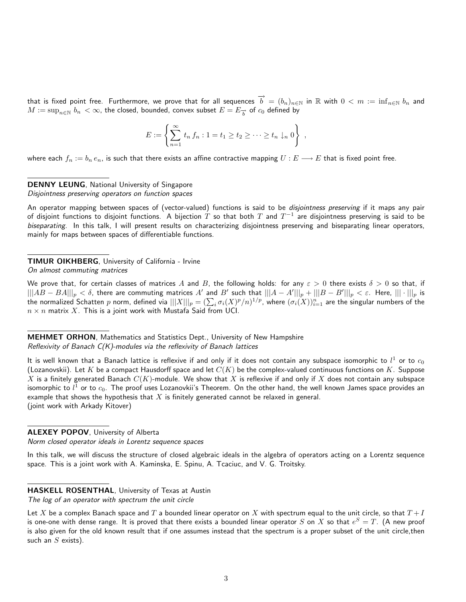that is fixed point free. Furthermore, we prove that for all sequences  $\overrightarrow{b} = (b_n)_{n\in\mathbb{N}}$  in R with  $0 < m := \inf_{n\in\mathbb{N}} b_n$  and  $M:=\sup_{n\in\mathbb{N}}\,b_n\,<\infty,$  the closed, bounded, convex subset  $E=E_{\overrightarrow{b}}$  of  $c_0$  defined by

$$
E := \left\{ \sum_{n=1}^{\infty} t_n f_n : 1 = t_1 \ge t_2 \ge \cdots \ge t_n \downarrow_n 0 \right\} ,
$$

where each  $f_n := b_n e_n$ , is such that there exists an affine contractive mapping  $U : E \longrightarrow E$  that is fixed point free.

# DENNY LEUNG, National University of Singapore

Disjointness preserving operators on function spaces

An operator mapping between spaces of (vector-valued) functions is said to be disjointness preserving if it maps any pair of disjoint functions to disjoint functions. A bijection  $T$  so that both  $T$  and  $T^{-1}$  are disjointness preserving is said to be biseparating. In this talk, I will present results on characterizing disjointness preserving and biseparating linear operators, mainly for maps between spaces of differentiable functions.

#### TIMUR OIKHBERG, University of California - Irvine On almost commuting matrices

We prove that, for certain classes of matrices A and B, the following holds: for any  $\varepsilon > 0$  there exists  $\delta > 0$  so that, if  $\vert\vert\vert AB-BA\vert\vert\vert_p<\delta$ , there are commuting matrices  $A'$  and  $B'$  such that  $\vert\vert\vert A-A'\vert\vert\vert_p+\vert\vert\vert B-B'\vert\vert\vert_p<\varepsilon$ . Here,  $\vert\vert\vert\cdot\vert\vert\vert_p$  is the normalized Schatten  $p$  norm, defined via  $|||X|||_p=(\sum_i\sigma_i(X)^p/n)^{1/p}$ , where  $(\sigma_i(X))_{i=1}^n$  are the singular numbers of the  $n \times n$  matrix X. This is a joint work with Mustafa Said from UCI.

**MEHMET ORHON, Mathematics and Statistics Dept., University of New Hampshire** Reflexivity of Banach C(K)-modules via the reflexivity of Banach lattices

It is well known that a Banach lattice is reflexive if and only if it does not contain any subspace isomorphic to  $l^1$  or to  $c_0$ (Lozanovskii). Let K be a compact Hausdorff space and let  $C(K)$  be the complex-valued continuous functions on K. Suppose X is a finitely generated Banach  $C(K)$ -module. We show that X is reflexive if and only if X does not contain any subspace isomorphic to  $l^1$  or to  $c_0.$  The proof uses Lozanovkii's Theorem. On the other hand, the well known James space provides an example that shows the hypothesis that  $X$  is finitely generated cannot be relaxed in general. (joint work with Arkady Kitover)

#### ALEXEY POPOV, University of Alberta

Norm closed operator ideals in Lorentz sequence spaces

In this talk, we will discuss the structure of closed algebraic ideals in the algebra of operators acting on a Lorentz sequence space. This is a joint work with A. Kaminska, E. Spinu, A. Tcaciuc, and V. G. Troitsky.

# HASKELL ROSENTHAL, University of Texas at Austin

The log of an operator with spectrum the unit circle

Let X be a complex Banach space and T a bounded linear operator on X with spectrum equal to the unit circle, so that  $T + I$ is one-one with dense range. It is proved that there exists a bounded linear operator  $S$  on  $X$  so that  $e^S=T$ . (A new proof is also given for the old known result that if one assumes instead that the spectrum is a proper subset of the unit circle,then such an  $S$  exists).